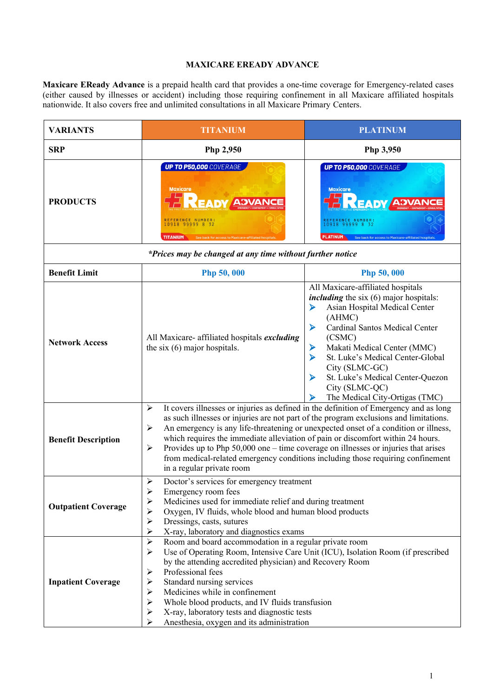## **MAXICARE EREADY ADVANCE**

**Maxicare EReady Advance** is a prepaid health card that provides a one-time coverage for Emergency-related cases (either caused by illnesses or accident) including those requiring confinement in all Maxicare affiliated hospitals nationwide. It also covers free and unlimited consultations in all Maxicare Primary Centers.

| <b>VARIANTS</b>                                           | <b>TITANIUM</b>                                                                                                                                                                                                                                                                                                                                                                                                                                                                                                                                                                                   | <b>PLATINUM</b>                                                                                                                                                                                                                                                                                                                                                                                          |  |  |  |
|-----------------------------------------------------------|---------------------------------------------------------------------------------------------------------------------------------------------------------------------------------------------------------------------------------------------------------------------------------------------------------------------------------------------------------------------------------------------------------------------------------------------------------------------------------------------------------------------------------------------------------------------------------------------------|----------------------------------------------------------------------------------------------------------------------------------------------------------------------------------------------------------------------------------------------------------------------------------------------------------------------------------------------------------------------------------------------------------|--|--|--|
| <b>SRP</b>                                                | Php 2,950                                                                                                                                                                                                                                                                                                                                                                                                                                                                                                                                                                                         | Php 3,950                                                                                                                                                                                                                                                                                                                                                                                                |  |  |  |
| <b>PRODUCTS</b>                                           | <b>UP TO P50,000 COVERAGE</b><br><b>Maxicare</b><br>REFERENCE NUMBER<br>10918 99999 8 32<br><b>TITANIUM</b>                                                                                                                                                                                                                                                                                                                                                                                                                                                                                       | <b>UP TO P50,000 COVERAGE</b><br><b>Maxicare</b><br><b>READY ADVANC</b><br>REFERENCE NUMBER<br>10918 99999 8 32<br><b>PLATINUM</b><br>See back for access to Maxicare-affiliated hospital                                                                                                                                                                                                                |  |  |  |
| *Prices may be changed at any time without further notice |                                                                                                                                                                                                                                                                                                                                                                                                                                                                                                                                                                                                   |                                                                                                                                                                                                                                                                                                                                                                                                          |  |  |  |
| <b>Benefit Limit</b>                                      | <b>Php 50,000</b>                                                                                                                                                                                                                                                                                                                                                                                                                                                                                                                                                                                 | Php 50,000                                                                                                                                                                                                                                                                                                                                                                                               |  |  |  |
| <b>Network Access</b>                                     | All Maxicare- affiliated hospitals excluding<br>the six $(6)$ major hospitals.                                                                                                                                                                                                                                                                                                                                                                                                                                                                                                                    | All Maxicare-affiliated hospitals<br><i>including</i> the six (6) major hospitals:<br>Asian Hospital Medical Center<br>➤<br>(AHMC)<br>Cardinal Santos Medical Center<br>➤<br>(CSMC)<br>Makati Medical Center (MMC)<br>➤<br>$\blacktriangleright$<br>St. Luke's Medical Center-Global<br>City (SLMC-GC)<br>St. Luke's Medical Center-Quezon<br>⋗<br>City (SLMC-QC)<br>The Medical City-Ortigas (TMC)<br>⋗ |  |  |  |
| <b>Benefit Description</b>                                | It covers illnesses or injuries as defined in the definition of Emergency and as long<br>$\blacktriangleright$<br>as such illnesses or injuries are not part of the program exclusions and limitations.<br>An emergency is any life-threatening or unexpected onset of a condition or illness,<br>≻<br>which requires the immediate alleviation of pain or discomfort within 24 hours.<br>Provides up to Php 50,000 one – time coverage on illnesses or injuries that arises<br>➤<br>from medical-related emergency conditions including those requiring confinement<br>in a regular private room |                                                                                                                                                                                                                                                                                                                                                                                                          |  |  |  |
| <b>Outpatient Coverage</b>                                | Doctor's services for emergency treatment<br>⋗<br>≻<br>Emergency room fees<br>$\blacktriangleright$<br>Medicines used for immediate relief and during treatment<br>Oxygen, IV fluids, whole blood and human blood products<br>≻<br>Dressings, casts, sutures<br>$\blacktriangleright$<br>X-ray, laboratory and diagnostics exams<br>≻                                                                                                                                                                                                                                                             |                                                                                                                                                                                                                                                                                                                                                                                                          |  |  |  |
| <b>Inpatient Coverage</b>                                 | Room and board accommodation in a regular private room<br>≻<br>$\blacktriangleright$<br>by the attending accredited physician) and Recovery Room<br>Professional fees<br>➤<br>Standard nursing services<br>➤<br>$\blacktriangleright$<br>Medicines while in confinement<br>$\blacktriangleright$<br>Whole blood products, and IV fluids transfusion<br>$\blacktriangleright$<br>X-ray, laboratory tests and diagnostic tests<br>≻<br>Anesthesia, oxygen and its administration                                                                                                                    | Use of Operating Room, Intensive Care Unit (ICU), Isolation Room (if prescribed                                                                                                                                                                                                                                                                                                                          |  |  |  |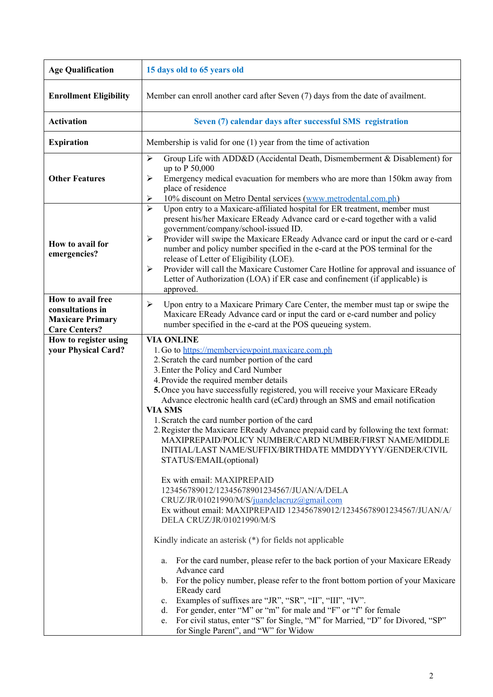| <b>Age Qualification</b>                                                                 | 15 days old to 65 years old                                                                                                                                                                                                                                                                                                                                                                                                                                                                                                                                                                                                                                                                                                                                                                                                                                                                                                                                                                                                                                                                                                                                                                                                                                                                                                                                                                                                                                          |  |  |
|------------------------------------------------------------------------------------------|----------------------------------------------------------------------------------------------------------------------------------------------------------------------------------------------------------------------------------------------------------------------------------------------------------------------------------------------------------------------------------------------------------------------------------------------------------------------------------------------------------------------------------------------------------------------------------------------------------------------------------------------------------------------------------------------------------------------------------------------------------------------------------------------------------------------------------------------------------------------------------------------------------------------------------------------------------------------------------------------------------------------------------------------------------------------------------------------------------------------------------------------------------------------------------------------------------------------------------------------------------------------------------------------------------------------------------------------------------------------------------------------------------------------------------------------------------------------|--|--|
| <b>Enrollment Eligibility</b>                                                            | Member can enroll another card after Seven (7) days from the date of availment.                                                                                                                                                                                                                                                                                                                                                                                                                                                                                                                                                                                                                                                                                                                                                                                                                                                                                                                                                                                                                                                                                                                                                                                                                                                                                                                                                                                      |  |  |
| <b>Activation</b>                                                                        | Seven (7) calendar days after successful SMS registration                                                                                                                                                                                                                                                                                                                                                                                                                                                                                                                                                                                                                                                                                                                                                                                                                                                                                                                                                                                                                                                                                                                                                                                                                                                                                                                                                                                                            |  |  |
| <b>Expiration</b>                                                                        | Membership is valid for one $(1)$ year from the time of activation                                                                                                                                                                                                                                                                                                                                                                                                                                                                                                                                                                                                                                                                                                                                                                                                                                                                                                                                                                                                                                                                                                                                                                                                                                                                                                                                                                                                   |  |  |
| <b>Other Features</b>                                                                    | Group Life with ADD&D (Accidental Death, Dismemberment & Disablement) for<br>≻<br>up to P 50,000<br>Emergency medical evacuation for members who are more than 150km away from<br>➤<br>place of residence<br>10% discount on Metro Dental services (www.metrodental.com.ph)<br>➤                                                                                                                                                                                                                                                                                                                                                                                                                                                                                                                                                                                                                                                                                                                                                                                                                                                                                                                                                                                                                                                                                                                                                                                     |  |  |
| How to avail for<br>emergencies?                                                         | Upon entry to a Maxicare-affiliated hospital for ER treatment, member must<br>≻<br>present his/her Maxicare EReady Advance card or e-card together with a valid<br>government/company/school-issued ID.<br>Provider will swipe the Maxicare EReady Advance card or input the card or e-card<br>≻<br>number and policy number specified in the e-card at the POS terminal for the<br>release of Letter of Eligibility (LOE).<br>Provider will call the Maxicare Customer Care Hotline for approval and issuance of<br>≻<br>Letter of Authorization (LOA) if ER case and confinement (if applicable) is<br>approved.                                                                                                                                                                                                                                                                                                                                                                                                                                                                                                                                                                                                                                                                                                                                                                                                                                                   |  |  |
| How to avail free<br>consultations in<br><b>Maxicare Primary</b><br><b>Care Centers?</b> | Upon entry to a Maxicare Primary Care Center, the member must tap or swipe the<br>≻<br>Maxicare EReady Advance card or input the card or e-card number and policy<br>number specified in the e-card at the POS queueing system.                                                                                                                                                                                                                                                                                                                                                                                                                                                                                                                                                                                                                                                                                                                                                                                                                                                                                                                                                                                                                                                                                                                                                                                                                                      |  |  |
| How to register using<br>your Physical Card?                                             | <b>VIA ONLINE</b><br>1. Go to https://memberviewpoint.maxicare.com.ph<br>2. Scratch the card number portion of the card<br>3. Enter the Policy and Card Number<br>4. Provide the required member details<br>5. Once you have successfully registered, you will receive your Maxicare EReady<br>Advance electronic health card (eCard) through an SMS and email notification<br><b>VIA SMS</b><br>1. Scratch the card number portion of the card<br>2. Register the Maxicare EReady Advance prepaid card by following the text format:<br>MAXIPREPAID/POLICY NUMBER/CARD NUMBER/FIRST NAME/MIDDLE<br>INITIAL/LAST NAME/SUFFIX/BIRTHDATE MMDDYYYY/GENDER/CIVIL<br>STATUS/EMAIL(optional)<br>Ex with email: MAXIPREPAID<br>123456789012/12345678901234567/JUAN/A/DELA<br>CRUZ/JR/01021990/M/S/juandelacruz@gmail.com<br>Ex without email: MAXIPREPAID 123456789012/12345678901234567/JUAN/A/<br>DELA CRUZ/JR/01021990/M/S<br>Kindly indicate an asterisk $(*)$ for fields not applicable<br>For the card number, please refer to the back portion of your Maxicare EReady<br>a.<br>Advance card<br>b. For the policy number, please refer to the front bottom portion of your Maxicare<br>EReady card<br>c. Examples of suffixes are "JR", "SR", "II", "III", "IV".<br>d. For gender, enter "M" or "m" for male and "F" or "f" for female<br>e. For civil status, enter "S" for Single, "M" for Married, "D" for Divored, "SP"<br>for Single Parent", and "W" for Widow |  |  |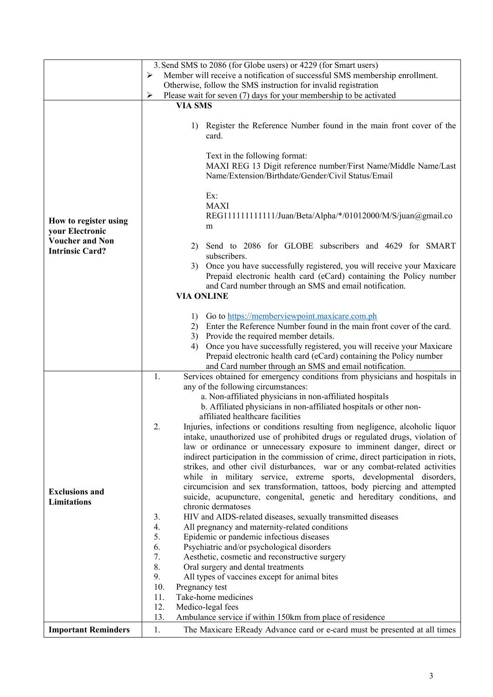|                            | 3. Send SMS to 2086 (for Globe users) or 4229 (for Smart users)                                                                                                  |  |  |
|----------------------------|------------------------------------------------------------------------------------------------------------------------------------------------------------------|--|--|
|                            | Member will receive a notification of successful SMS membership enrollment.<br>≻                                                                                 |  |  |
|                            | Otherwise, follow the SMS instruction for invalid registration                                                                                                   |  |  |
|                            | Please wait for seven (7) days for your membership to be activated<br>➤                                                                                          |  |  |
|                            | <b>VIA SMS</b>                                                                                                                                                   |  |  |
|                            |                                                                                                                                                                  |  |  |
|                            | Register the Reference Number found in the main front cover of the<br>1)                                                                                         |  |  |
|                            | card.                                                                                                                                                            |  |  |
|                            | Text in the following format:                                                                                                                                    |  |  |
|                            | MAXI REG 13 Digit reference number/First Name/Middle Name/Last                                                                                                   |  |  |
|                            | Name/Extension/Birthdate/Gender/Civil Status/Email                                                                                                               |  |  |
|                            |                                                                                                                                                                  |  |  |
|                            | Ex:                                                                                                                                                              |  |  |
|                            | <b>MAXI</b>                                                                                                                                                      |  |  |
| How to register using      | REG1111111111111/Juan/Beta/Alpha/*/01012000/M/S/juan@gmail.co                                                                                                    |  |  |
| your Electronic            | m                                                                                                                                                                |  |  |
| <b>Voucher and Non</b>     |                                                                                                                                                                  |  |  |
| <b>Intrinsic Card?</b>     | 2) Send to 2086 for GLOBE subscribers and 4629 for SMART                                                                                                         |  |  |
|                            | subscribers.<br>3) Once you have successfully registered, you will receive your Maxicare                                                                         |  |  |
|                            | Prepaid electronic health card (eCard) containing the Policy number                                                                                              |  |  |
|                            | and Card number through an SMS and email notification.                                                                                                           |  |  |
|                            | <b>VIA ONLINE</b>                                                                                                                                                |  |  |
|                            |                                                                                                                                                                  |  |  |
|                            | Go to https://memberviewpoint.maxicare.com.ph<br>1)                                                                                                              |  |  |
|                            | 2) Enter the Reference Number found in the main front cover of the card.                                                                                         |  |  |
|                            | 3) Provide the required member details.                                                                                                                          |  |  |
|                            | Once you have successfully registered, you will receive your Maxicare<br>4)                                                                                      |  |  |
|                            | Prepaid electronic health card (eCard) containing the Policy number                                                                                              |  |  |
|                            | and Card number through an SMS and email notification.<br>1.<br>Services obtained for emergency conditions from physicians and hospitals in                      |  |  |
|                            | any of the following circumstances:                                                                                                                              |  |  |
|                            | a. Non-affiliated physicians in non-affiliated hospitals                                                                                                         |  |  |
|                            | b. Affiliated physicians in non-affiliated hospitals or other non-                                                                                               |  |  |
|                            | affiliated healthcare facilities                                                                                                                                 |  |  |
|                            | 2.<br>Injuries, infections or conditions resulting from negligence, alcoholic liquor                                                                             |  |  |
|                            | intake, unauthorized use of prohibited drugs or regulated drugs, violation of                                                                                    |  |  |
|                            | law or ordinance or unnecessary exposure to imminent danger, direct or                                                                                           |  |  |
|                            | indirect participation in the commission of crime, direct participation in riots,<br>strikes, and other civil disturbances, war or any combat-related activities |  |  |
|                            | while in military service, extreme sports, developmental disorders,                                                                                              |  |  |
|                            | circumcision and sex transformation, tattoos, body piercing and attempted                                                                                        |  |  |
| <b>Exclusions and</b>      | suicide, acupuncture, congenital, genetic and hereditary conditions, and                                                                                         |  |  |
| <b>Limitations</b>         | chronic dermatoses                                                                                                                                               |  |  |
|                            | HIV and AIDS-related diseases, sexually transmitted diseases<br>3.                                                                                               |  |  |
|                            | 4.<br>All pregnancy and maternity-related conditions                                                                                                             |  |  |
|                            | 5.<br>Epidemic or pandemic infectious diseases                                                                                                                   |  |  |
|                            | 6.<br>Psychiatric and/or psychological disorders                                                                                                                 |  |  |
|                            | 7.<br>Aesthetic, cosmetic and reconstructive surgery<br>8.<br>Oral surgery and dental treatments                                                                 |  |  |
|                            | 9.<br>All types of vaccines except for animal bites                                                                                                              |  |  |
|                            | 10.<br>Pregnancy test                                                                                                                                            |  |  |
|                            | Take-home medicines<br>11.                                                                                                                                       |  |  |
|                            | 12.<br>Medico-legal fees                                                                                                                                         |  |  |
|                            | 13.<br>Ambulance service if within 150km from place of residence                                                                                                 |  |  |
| <b>Important Reminders</b> | 1.<br>The Maxicare EReady Advance card or e-card must be presented at all times                                                                                  |  |  |